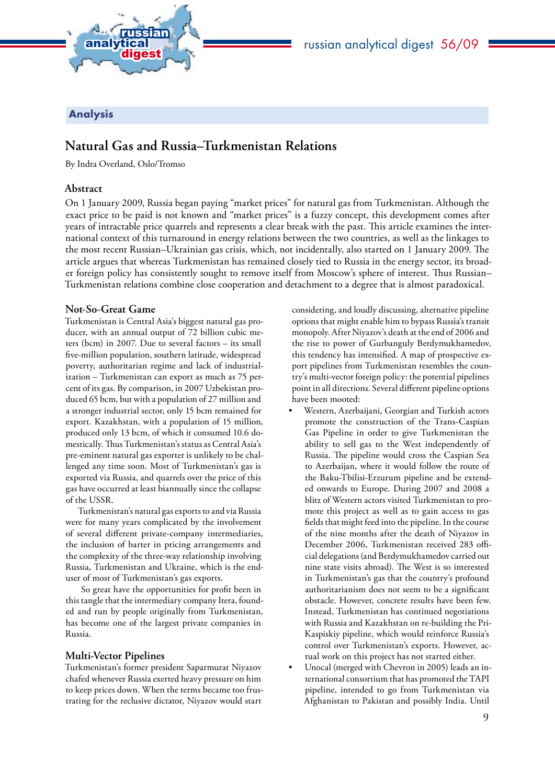

# Analysis

# **Natural Gas and Russia–Turkmenistan Relations**

By Indra Overland, Oslo/Tromso

### **Abstract**

On 1 January 2009, Russia began paying "market prices" for natural gas from Turkmenistan. Although the exact price to be paid is not known and "market prices" is a fuzzy concept, this development comes after years of intractable price quarrels and represents a clear break with the past. This article examines the international context of this turnaround in energy relations between the two countries, as well as the linkages to the most recent Russian–Ukrainian gas crisis, which, not incidentally, also started on 1 January 2009. The article argues that whereas Turkmenistan has remained closely tied to Russia in the energy sector, its broader foreign policy has consistently sought to remove itself from Moscow's sphere of interest. Thus Russian– Turkmenistan relations combine close cooperation and detachment to a degree that is almost paradoxical.

### **Not-So-Great Game**

Turkmenistan is Central Asia's biggest natural gas producer, with an annual output of 72 billion cubic meters (bcm) in 2007. Due to several factors – its small five-million population, southern latitude, widespread poverty, authoritarian regime and lack of industrialization – Turkmenistan can export as much as 75 percent of its gas. By comparison, in 2007 Uzbekistan produced 65 bcm, but with a population of 27 million and a stronger industrial sector, only 15 bcm remained for export. Kazakhstan, with a population of 15 million, produced only 13 bcm, of which it consumed 10.6 domestically. Thus Turkmenistan's status as Central Asia's pre-eminent natural gas exporter is unlikely to be challenged any time soon. Most of Turkmenistan's gas is exported via Russia, and quarrels over the price of this gas have occurred at least biannually since the collapse of the USSR.

Turkmenistan's natural gas exports to and via Russia were for many years complicated by the involvement of several different private-company intermediaries, the inclusion of barter in pricing arrangements and the complexity of the three-way relationship involving Russia, Turkmenistan and Ukraine, which is the enduser of most of Turkmenistan's gas exports.

 So great have the opportunities for profit been in this tangle that the intermediary company Itera, founded and run by people originally from Turkmenistan, has become one of the largest private companies in Russia.

### **Multi-Vector Pipelines**

Turkmenistan's former president Saparmurat Niyazov chafed whenever Russia exerted heavy pressure on him to keep prices down. When the terms became too frustrating for the reclusive dictator, Niyazov would start

considering, and loudly discussing, alternative pipeline options that might enable him to bypass Russia's transit monopoly. After Niyazov's death at the end of 2006 and the rise to power of Gurbanguly Berdymukhamedov, this tendency has intensified. A map of prospective export pipelines from Turkmenistan resembles the country's multi-vector foreign policy: the potential pipelines point in all directions. Several different pipeline options have been mooted:

- Western, Azerbaijani, Georgian and Turkish actors promote the construction of the Trans-Caspian Gas Pipeline in order to give Turkmenistan the ability to sell gas to the West independently of Russia. The pipeline would cross the Caspian Sea to Azerbaijan, where it would follow the route of the Baku-Tbilisi-Erzurum pipeline and be extended onwards to Europe. During 2007 and 2008 a blitz of Western actors visited Turkmenistan to promote this project as well as to gain access to gas fields that might feed into the pipeline. In the course of the nine months after the death of Niyazov in December 2006, Turkmenistan received 283 official delegations (and Berdymukhamedov carried out nine state visits abroad). The West is so interested in Turkmenistan's gas that the country's profound authoritarianism does not seem to be a significant obstacle. However, concrete results have been few. Instead, Turkmenistan has continued negotiations with Russia and Kazakhstan on re-building the Pri-Kaspiskiy pipeline, which would reinforce Russia's control over Turkmenistan's exports. However, actual work on this project has not started either.
- Unocal (merged with Chevron in 2005) leads an international consortium that has promoted the TAPI pipeline, intended to go from Turkmenistan via Afghanistan to Pakistan and possibly India. Until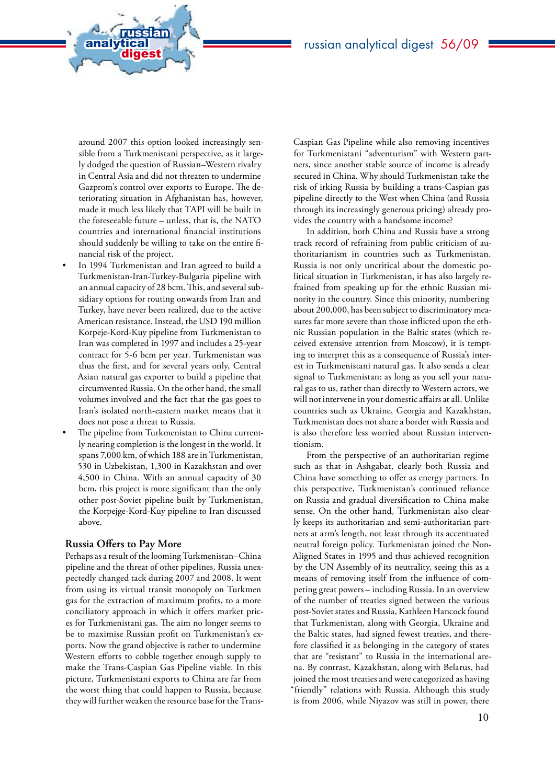around 2007 this option looked increasingly sensible from a Turkmenistani perspective, as it largely dodged the question of Russian–Western rivalry in Central Asia and did not threaten to undermine Gazprom's control over exports to Europe. The deteriorating situation in Afghanistan has, however, made it much less likely that TAPI will be built in the foreseeable future – unless, that is, the NATO countries and international financial institutions should suddenly be willing to take on the entire financial risk of the project.

analytical<br>digest

russian

- In 1994 Turkmenistan and Iran agreed to build a Turkmenistan-Iran-Turkey-Bulgaria pipeline with an annual capacity of 28 bcm. This, and several subsidiary options for routing onwards from Iran and Turkey, have never been realized, due to the active American resistance. Instead, the USD 190 million Korpeje-Kord-Kuy pipeline from Turkmenistan to Iran was completed in 1997 and includes a 25-year contract for 5-6 bcm per year. Turkmenistan was thus the first, and for several years only, Central Asian natural gas exporter to build a pipeline that circumvented Russia. On the other hand, the small volumes involved and the fact that the gas goes to Iran's isolated north-eastern market means that it does not pose a threat to Russia.
- The pipeline from Turkmenistan to China currently nearing completion is the longest in the world. It spans 7,000 km, of which 188 are in Turkmenistan, 530 in Uzbekistan, 1,300 in Kazakhstan and over 4,500 in China. With an annual capacity of 30 bcm, this project is more significant than the only other post-Soviet pipeline built by Turkmenistan, the Korpejge-Kord-Kuy pipeline to Iran discussed above.

#### **Russia Offers to Pay More**

Perhaps as a result of the looming Turkmenistan–China pipeline and the threat of other pipelines, Russia unexpectedly changed tack during 2007 and 2008. It went from using its virtual transit monopoly on Turkmen gas for the extraction of maximum profits, to a more conciliatory approach in which it offers market prices for Turkmenistani gas. The aim no longer seems to be to maximise Russian profit on Turkmenistan's exports. Now the grand objective is rather to undermine Western efforts to cobble together enough supply to make the Trans-Caspian Gas Pipeline viable. In this picture, Turkmenistani exports to China are far from the worst thing that could happen to Russia, because they will further weaken the resource base for the TransCaspian Gas Pipeline while also removing incentives for Turkmenistani "adventurism" with Western partners, since another stable source of income is already secured in China. Why should Turkmenistan take the risk of irking Russia by building a trans-Caspian gas pipeline directly to the West when China (and Russia through its increasingly generous pricing) already provides the country with a handsome income?

In addition, both China and Russia have a strong track record of refraining from public criticism of authoritarianism in countries such as Turkmenistan. Russia is not only uncritical about the domestic political situation in Turkmenistan, it has also largely refrained from speaking up for the ethnic Russian minority in the country. Since this minority, numbering about 200,000, has been subject to discriminatory measures far more severe than those inflicted upon the ethnic Russian population in the Baltic states (which received extensive attention from Moscow), it is tempting to interpret this as a consequence of Russia's interest in Turkmenistani natural gas. It also sends a clear signal to Turkmenistan: as long as you sell your natural gas to us, rather than directly to Western actors, we will not intervene in your domestic affairs at all. Unlike countries such as Ukraine, Georgia and Kazakhstan, Turkmenistan does not share a border with Russia and is also therefore less worried about Russian interventionism.

From the perspective of an authoritarian regime such as that in Ashgabat, clearly both Russia and China have something to offer as energy partners. In this perspective, Turkmenistan's continued reliance on Russia and gradual diversification to China make sense. On the other hand, Turkmenistan also clearly keeps its authoritarian and semi-authoritarian partners at arm's length, not least through its accentuated neutral foreign policy. Turkmenistan joined the Non-Aligned States in 1995 and thus achieved recognition by the UN Assembly of its neutrality, seeing this as a means of removing itself from the influence of competing great powers – including Russia. In an overview of the number of treaties signed between the various post-Soviet states and Russia, Kathleen Hancock found that Turkmenistan, along with Georgia, Ukraine and the Baltic states, had signed fewest treaties, and therefore classified it as belonging in the category of states that are "resistant" to Russia in the international arena. By contrast, Kazakhstan, along with Belarus, had joined the most treaties and were categorized as having "friendly" relations with Russia. Although this study is from 2006, while Niyazov was still in power, there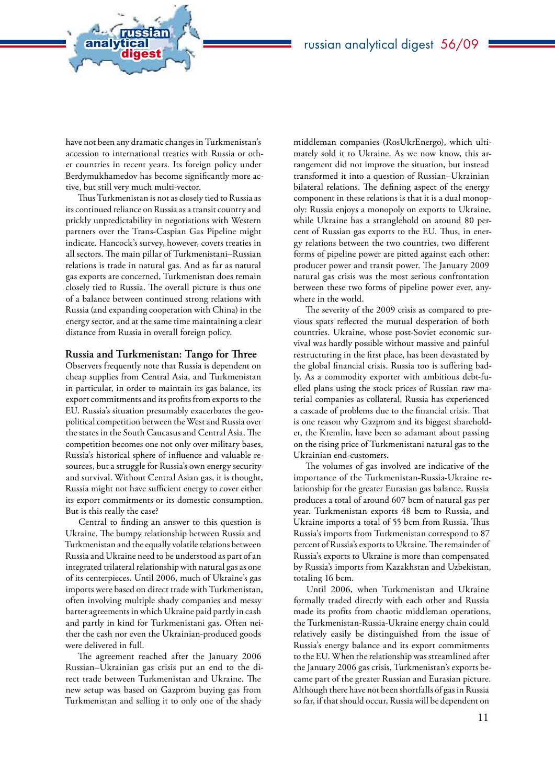have not been any dramatic changes in Turkmenistan's accession to international treaties with Russia or other countries in recent years. Its foreign policy under Berdymukhamedov has become significantly more active, but still very much multi-vector.

analytical<br>digest

russian

Thus Turkmenistan is not as closely tied to Russia as its continued reliance on Russia as a transit country and prickly unpredictability in negotiations with Western partners over the Trans-Caspian Gas Pipeline might indicate. Hancock's survey, however, covers treaties in all sectors. The main pillar of Turkmenistani–Russian relations is trade in natural gas. And as far as natural gas exports are concerned, Turkmenistan does remain closely tied to Russia. The overall picture is thus one of a balance between continued strong relations with Russia (and expanding cooperation with China) in the energy sector, and at the same time maintaining a clear distance from Russia in overall foreign policy.

#### **Russia and Turkmenistan: Tango for Three**

Observers frequently note that Russia is dependent on cheap supplies from Central Asia, and Turkmenistan in particular, in order to maintain its gas balance, its export commitments and its profits from exports to the EU. Russia's situation presumably exacerbates the geopolitical competition between the West and Russia over the states in the South Caucasus and Central Asia. The competition becomes one not only over military bases, Russia's historical sphere of influence and valuable resources, but a struggle for Russia's own energy security and survival. Without Central Asian gas, it is thought, Russia might not have sufficient energy to cover either its export commitments or its domestic consumption. But is this really the case?

Central to finding an answer to this question is Ukraine. The bumpy relationship between Russia and Turkmenistan and the equally volatile relations between Russia and Ukraine need to be understood as part of an integrated trilateral relationship with natural gas as one of its centerpieces. Until 2006, much of Ukraine's gas imports were based on direct trade with Turkmenistan, often involving multiple shady companies and messy barter agreements in which Ukraine paid partly in cash and partly in kind for Turkmenistani gas. Often neither the cash nor even the Ukrainian-produced goods were delivered in full.

The agreement reached after the January 2006 Russian–Ukrainian gas crisis put an end to the direct trade between Turkmenistan and Ukraine. The new setup was based on Gazprom buying gas from Turkmenistan and selling it to only one of the shady

middleman companies (RosUkrEnergo), which ultimately sold it to Ukraine. As we now know, this arrangement did not improve the situation, but instead transformed it into a question of Russian–Ukrainian bilateral relations. The defining aspect of the energy component in these relations is that it is a dual monopoly: Russia enjoys a monopoly on exports to Ukraine, while Ukraine has a stranglehold on around 80 percent of Russian gas exports to the EU. Thus, in energy relations between the two countries, two different forms of pipeline power are pitted against each other: producer power and transit power. The January 2009 natural gas crisis was the most serious confrontation between these two forms of pipeline power ever, anywhere in the world.

The severity of the 2009 crisis as compared to previous spats reflected the mutual desperation of both countries. Ukraine, whose post-Soviet economic survival was hardly possible without massive and painful restructuring in the first place, has been devastated by the global financial crisis. Russia too is suffering badly. As a commodity exporter with ambitious debt-fuelled plans using the stock prices of Russian raw material companies as collateral, Russia has experienced a cascade of problems due to the financial crisis. That is one reason why Gazprom and its biggest shareholder, the Kremlin, have been so adamant about passing on the rising price of Turkmenistani natural gas to the Ukrainian end-customers.

The volumes of gas involved are indicative of the importance of the Turkmenistan-Russia-Ukraine relationship for the greater Eurasian gas balance. Russia produces a total of around 607 bcm of natural gas per year. Turkmenistan exports 48 bcm to Russia, and Ukraine imports a total of 55 bcm from Russia. Thus Russia's imports from Turkmenistan correspond to 87 percent of Russia's exports to Ukraine. The remainder of Russia's exports to Ukraine is more than compensated by Russia's imports from Kazakhstan and Uzbekistan, totaling 16 bcm.

Until 2006, when Turkmenistan and Ukraine formally traded directly with each other and Russia made its profits from chaotic middleman operations, the Turkmenistan-Russia-Ukraine energy chain could relatively easily be distinguished from the issue of Russia's energy balance and its export commitments to the EU. When the relationship was streamlined after the January 2006 gas crisis, Turkmenistan's exports became part of the greater Russian and Eurasian picture. Although there have not been shortfalls of gas in Russia so far, if that should occur, Russia will be dependent on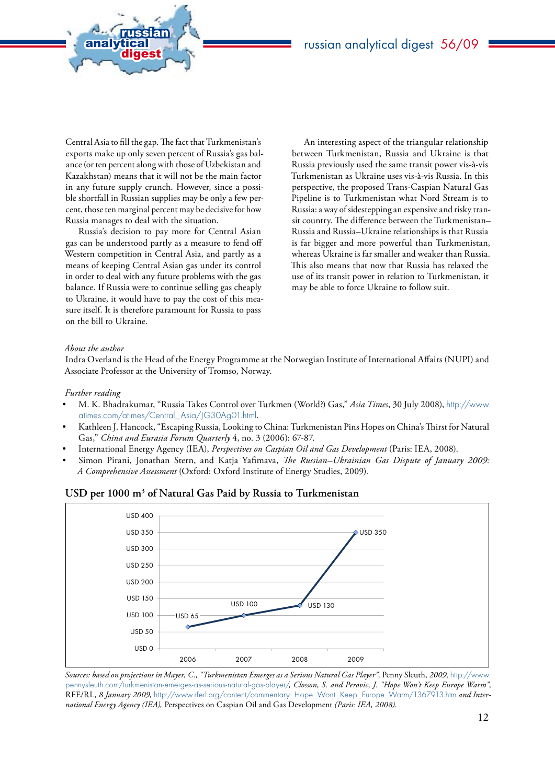

analytical<br>digest

russian

Russia's decision to pay more for Central Asian gas can be understood partly as a measure to fend off Western competition in Central Asia, and partly as a means of keeping Central Asian gas under its control in order to deal with any future problems with the gas balance. If Russia were to continue selling gas cheaply to Ukraine, it would have to pay the cost of this measure itself. It is therefore paramount for Russia to pass on the bill to Ukraine.

An interesting aspect of the triangular relationship between Turkmenistan, Russia and Ukraine is that Russia previously used the same transit power vis-à-vis Turkmenistan as Ukraine uses vis-à-vis Russia. In this perspective, the proposed Trans-Caspian Natural Gas Pipeline is to Turkmenistan what Nord Stream is to Russia: a way of sidestepping an expensive and risky transit country. The difference between the Turkmenistan– Russia and Russia–Ukraine relationships is that Russia is far bigger and more powerful than Turkmenistan, whereas Ukraine is far smaller and weaker than Russia. This also means that now that Russia has relaxed the use of its transit power in relation to Turkmenistan, it may be able to force Ukraine to follow suit.

#### *About the author*

Indra Overland is the Head of the Energy Programme at the Norwegian Institute of International Affairs (NUPI) and Associate Professor at the University of Tromso, Norway.

#### *Further reading*

- • M. K. Bhadrakumar, "Russia Takes Control over Turkmen (World?) Gas," *Asia Times*, 30 July 2008), http://www. atimes.com/atimes/Central\_Asia/JG30Ag01.html.
- Kathleen J. Hancock, "Escaping Russia, Looking to China: Turkmenistan Pins Hopes on China's Thirst for Natural Gas," *China and Eurasia Forum Quarterly* 4, no. 3 (2006): 67-87.
- International Energy Agency (IEA), *Perspectives on Caspian Oil and Gas Development* (Paris: IEA, 2008).
- Simon Pirani, Jonathan Stern, and Katja Yafimava, *The Russian–Ukrainian Gas Dispute of January 2009*: *A Comprehensive Assessment* (Oxford: Oxford Institute of Energy Studies, 2009).





*Sources: based on projections in Mayer, C., "Turkmenistan Emerges as a Serious Natural Gas Player",* Penny Sleuth, *2009,* [http://www.](http://www.pennysleuth.com/turkmenistan-emerges-as-serious-natural-gas-player/) [pennysleuth.com/turkmenistan-emerges-as-serious-natural-gas-player/](http://www.pennysleuth.com/turkmenistan-emerges-as-serious-natural-gas-player/)*, Closson, S. and Perovic, J. "Hope Won't Keep Europe Warm",*  RFE/RL*, 8 January 2009,* http://www.rferl.org/content/commentary\_Hope\_Wont\_Keep\_Europe\_Warm/1367913.htm *and International Energy Agency (IEA),* Perspectives on Caspian Oil and Gas Development *(Paris: IEA, 2008).*